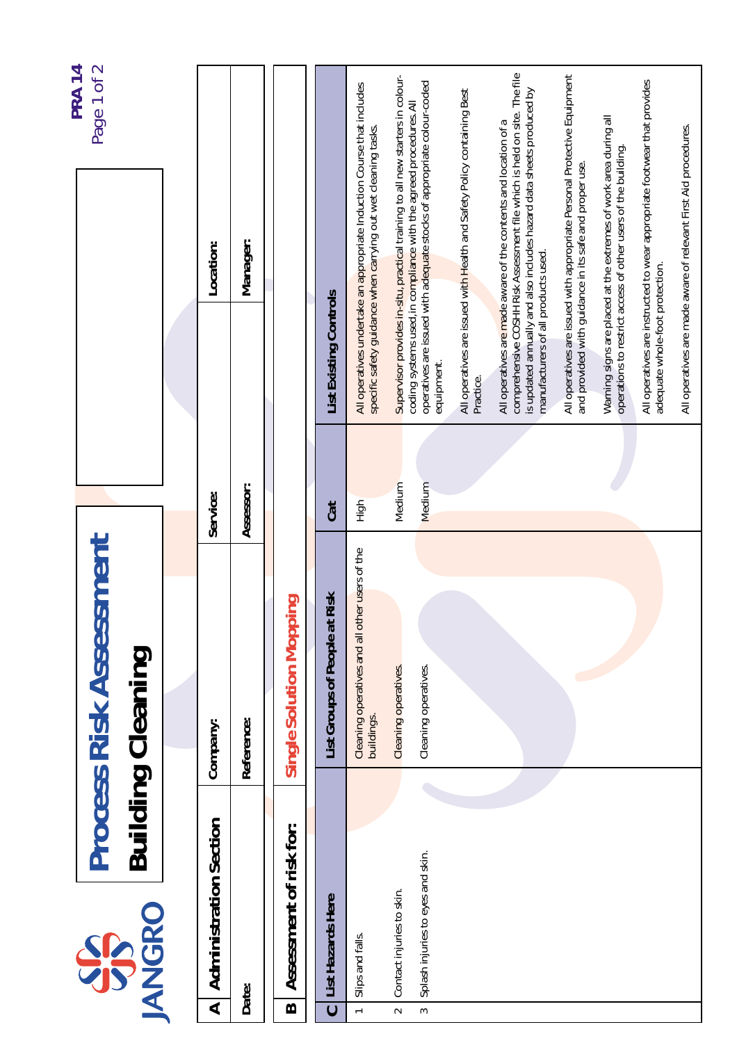|                      |                                   |                                                              |           |                                                                                                                                   | <b>PRA 14</b>                                                                                                                                    |
|----------------------|-----------------------------------|--------------------------------------------------------------|-----------|-----------------------------------------------------------------------------------------------------------------------------------|--------------------------------------------------------------------------------------------------------------------------------------------------|
|                      | <b>IANGRO</b><br>SS               | <b>Process Risk Assessment</b><br><b>Building Cleaning</b>   |           |                                                                                                                                   | Page 1 of 2                                                                                                                                      |
|                      |                                   |                                                              |           |                                                                                                                                   |                                                                                                                                                  |
| $\blacktriangleleft$ | <b>Administration Section</b>     | Company:                                                     | Service:  | Location:                                                                                                                         |                                                                                                                                                  |
|                      | Date:                             | Reference:                                                   | Assessor: | Manager:                                                                                                                          |                                                                                                                                                  |
| B                    | Assessment of risk for:           | Single Solution Mopping                                      |           |                                                                                                                                   |                                                                                                                                                  |
| $\ddot{\phantom{0}}$ | List Hazards Here                 | List Groups of People at Risk                                | Cat       | <b>List Existing Controls</b>                                                                                                     |                                                                                                                                                  |
| $\leftarrow$         | Slips and falls.                  | Cleaning operatives and all other users of the<br>buildings. | High      | specific safety guidance when carrying out wet cleaning tasks.                                                                    | All operatives undertake an appropriate Induction Course that includes                                                                           |
| $\sim$               | Contact injuries to skin.         | Cleaning operatives.                                         | Medium    | coding systems used, in compliance with the agreed procedures. All                                                                | Supervisor provides in-situ, practical training to all new starters in colour-                                                                   |
| $\sim$               | Splash injuries to eyes and skin. | Cleaning operatives.                                         | Medium    | equipment.                                                                                                                        | operatives are issued with adequate stocks of appropriate colour-coded                                                                           |
|                      |                                   |                                                              |           | Practice.                                                                                                                         | All operatives are issued with Health and Safety Policy containing Best                                                                          |
|                      |                                   |                                                              |           | All operatives are made aware of the contents and location of a<br>manufacturers of all products used.                            | comprehensive COSHH Risk Assessment file which is held on site. The file<br>is updated annually and also includes hazard data sheets produced by |
|                      |                                   |                                                              |           | and provided with guidance in its safe and proper use.                                                                            | All operatives are issued with appropriate Personal Protective Equipment                                                                         |
|                      |                                   |                                                              |           | Warning signs are placed at the extremes of work area during all<br>operations to restrict access of other users of the building. |                                                                                                                                                  |
|                      |                                   |                                                              |           | adequate whole-foot protection.                                                                                                   | All operatives are instructed to wear appropriate footwear that provides                                                                         |
|                      |                                   |                                                              |           | All operatives are made aware of relevant First Aid procedures.                                                                   |                                                                                                                                                  |